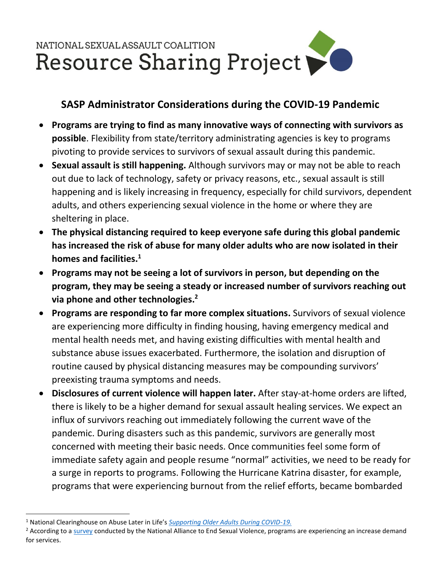

## **SASP Administrator Considerations during the COVID-19 Pandemic**

- **Programs are trying to find as many innovative ways of connecting with survivors as possible**. Flexibility from state/territory administrating agencies is key to programs pivoting to provide services to survivors of sexual assault during this pandemic.
- **Sexual assault is still happening.** Although survivors may or may not be able to reach out due to lack of technology, safety or privacy reasons, etc., sexual assault is still happening and is likely increasing in frequency, especially for child survivors, dependent adults, and others experiencing sexual violence in the home or where they are sheltering in place.
- **The physical distancing required to keep everyone safe during this global pandemic has increased the risk of abuse for many older adults who are now isolated in their homes and facilities.<sup>1</sup>**
- **Programs may not be seeing a lot of survivors in person, but depending on the program, they may be seeing a steady or increased number of survivors reaching out via phone and other technologies. 2**
- **Programs are responding to far more complex situations.** Survivors of sexual violence are experiencing more difficulty in finding housing, having emergency medical and mental health needs met, and having existing difficulties with mental health and substance abuse issues exacerbated. Furthermore, the isolation and disruption of routine caused by physical distancing measures may be compounding survivors' preexisting trauma symptoms and needs.
- **Disclosures of current violence will happen later.** After stay-at-home orders are lifted, there is likely to be a higher demand for sexual assault healing services. We expect an influx of survivors reaching out immediately following the current wave of the pandemic. During disasters such as this pandemic, survivors are generally most concerned with meeting their basic needs. Once communities feel some form of immediate safety again and people resume "normal" activities, we need to be ready for a surge in reports to programs. Following the Hurricane Katrina disaster, for example, programs that were experiencing burnout from the relief efforts, became bombarded

 $\overline{a}$ 

<sup>1</sup> National Clearinghouse on Abuse Later in Life's *[Supporting Older Adults During COVID-19.](https://www.ncall.us/2020/04/07/supporting-older-survivors-during-covid-19/)*

<sup>&</sup>lt;sup>2</sup> According to a [survey](https://documentcloud.adobe.com/link/track/?pageNum=1&uri=urn%3Aaaid%3Ascds%3AUS%3A1d3534ee-960e-4f94-96dd-8196d2017c90) conducted by the National Alliance to End Sexual Violence, programs are experiencing an increase demand for services.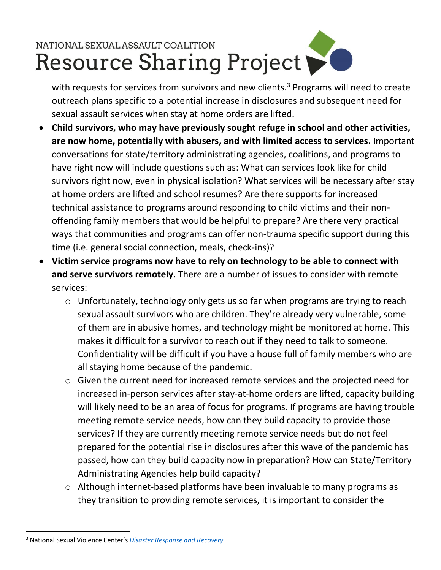## NATIONAL SEXUAL ASSAULT COALITION Resource Sharing Project

with requests for services from survivors and new clients.<sup>3</sup> Programs will need to create outreach plans specific to a potential increase in disclosures and subsequent need for sexual assault services when stay at home orders are lifted.

- **Child survivors, who may have previously sought refuge in school and other activities, are now home, potentially with abusers, and with limited access to services.** Important conversations for state/territory administrating agencies, coalitions, and programs to have right now will include questions such as: What can services look like for child survivors right now, even in physical isolation? What services will be necessary after stay at home orders are lifted and school resumes? Are there supports for increased technical assistance to programs around responding to child victims and their nonoffending family members that would be helpful to prepare? Are there very practical ways that communities and programs can offer non-trauma specific support during this time (i.e. general social connection, meals, check-ins)?
- **Victim service programs now have to rely on technology to be able to connect with and serve survivors remotely.** There are a number of issues to consider with remote services:
	- o Unfortunately, technology only gets us so far when programs are trying to reach sexual assault survivors who are children. They're already very vulnerable, some of them are in abusive homes, and technology might be monitored at home. This makes it difficult for a survivor to reach out if they need to talk to someone. Confidentiality will be difficult if you have a house full of family members who are all staying home because of the pandemic.
	- o Given the current need for increased remote services and the projected need for increased in-person services after stay-at-home orders are lifted, capacity building will likely need to be an area of focus for programs. If programs are having trouble meeting remote service needs, how can they build capacity to provide those services? If they are currently meeting remote service needs but do not feel prepared for the potential rise in disclosures after this wave of the pandemic has passed, how can they build capacity now in preparation? How can State/Territory Administrating Agencies help build capacity?
	- o Although internet-based platforms have been invaluable to many programs as they transition to providing remote services, it is important to consider the

 $\overline{a}$ 

<sup>3</sup> National Sexual Violence Center's *[Disaster Response and Recovery.](https://www.nsvrc.org/disaster-response-recovery)*